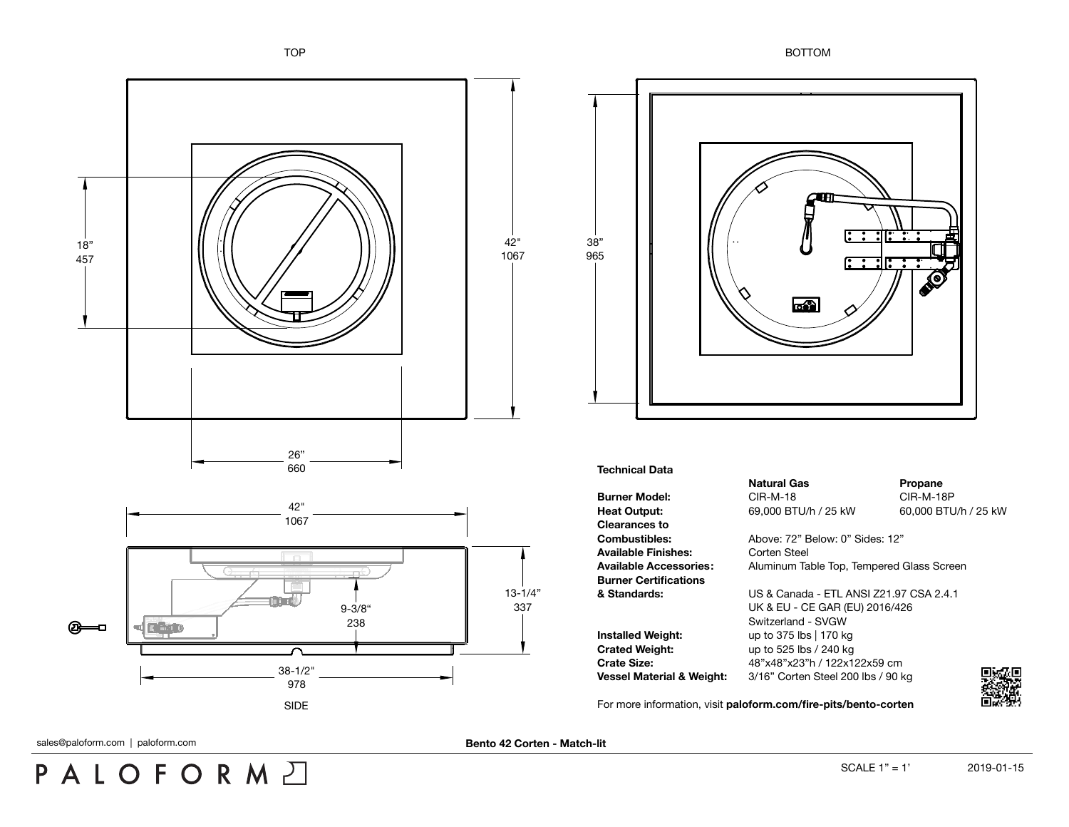



## **Technical Data**

**Burner Model:** CIR-M-18 CIR-M-18 CIR-M-18P **Heat Output:** 69,000 BTU/h / 25 kW 60,000 BTU/h / 25 kW **Clearances to** Available Finishes: Corten Steel **Burner Certifications**

**Installed Weight:** up to 375 lbs | 170 kg **Crated Weight:** up to 525 lbs / 240 kg

**Natural Gas Propane** 

**Combustibles:** Above: 72" Below: 0" Sides: 12" **Available Accessories:** Aluminum Table Top, Tempered Glass Screen

**& Standards:** US & Canada - ETL ANSI Z21.97 CSA 2.4.1 UK & EU - CE GAR (EU) 2016/426 Switzerland - SVGW **Crate Size:** 48"x48"x23"h / 122x122x59 cm **Vessel Material & Weight:** 3/16" Corten Steel 200 lbs / 90 kg

For more information, visit **[paloform.com/fire-pits/bento-corten](http://paloform.com/fire-pits/bento-corten)**



sales@paloform.com | paloform.com **blue and a corten - Match-lit Bento 42 Corten - Match-lit** 

PALOFORMA